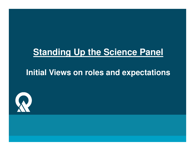## **Standing Up the Science Panel**

### **Initial Views on roles and expectations**

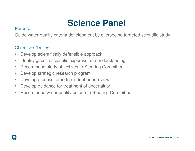# **Science Panel**

#### Purpose:

Guide water quality criteria development by overseeing targeted scientific study

### Objectives/Duties

- $\bullet$ Develop scientifically defensible approach
- $\bullet$ Identify gaps in scientific expertise and understanding
- Recommend study objectives to Steering Committee•
- $\bullet$ Develop strategic research program
- Develop process for independent peer review $\bullet$
- Develop guidance for treatment of uncertainty $\bullet$
- •Recommend water quality criteria to Steering Committee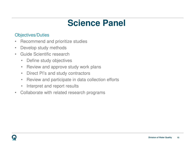## **Science Panel**

#### Objectives/Duties

- •Recommend and prioritize studies
- •Develop study methods
- • Guide Scientific research
	- •Define study objectives
	- $\bullet$ Review and approve study work plans
	- $\bullet$ Direct PI's and study contractors
	- $\bullet$ Review and participate in data collection efforts
	- $\bullet$ Interpret and report results
- $\bullet$ Collaborate with related research programs

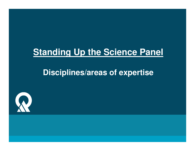## **Standing Up the Science Panel**

## **Disciplines/areas of expertise**

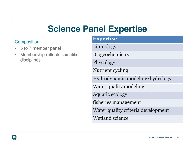## **Science Panel Expertise**

#### **Composition**

- 5 to 7 member panel •
- • Membership reflects scientific disciplines

| <b>Expertise</b>                   |
|------------------------------------|
| Limnology                          |
| Biogeochemistry                    |
| Phycology                          |
| Nutrient cycling                   |
| Hydrodynamic modeling/hydrology    |
| Water quality modeling             |
| <b>Aquatic ecology</b>             |
| fisheries management               |
| Water quality criteria development |
| Wetland science                    |
|                                    |

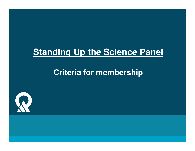## **Standing Up the Science Panel**

## **Criteria for membership**